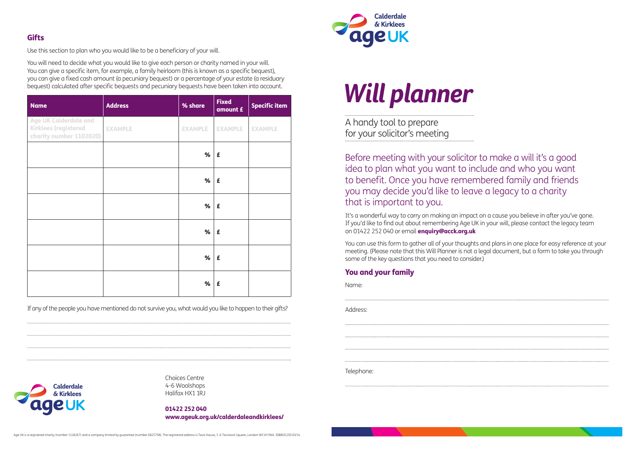Use this section to plan who you would like to be a beneficiary of your will.

You will need to decide what you would like to give each person or charity named in your will. You can give a specific item, for example, a family heirloom (this is known as a specific bequest), you can give a fixed cash amount (a pecuniary bequest) or a percentage of your estate (a residuary bequest) calculated after specific bequests and pecuniary bequests have been taken into account.

If any of the people you have mentioned do not survive you, what would you like to happen to their gifts?



A handy tool to prepare for your solicitor's meeting

| <b>Name</b>                                                                            | <b>Address</b> | % share        | <b>Fixed</b><br>amount £ | <b>Specific item</b> |
|----------------------------------------------------------------------------------------|----------------|----------------|--------------------------|----------------------|
| <b>Age UK Calderdale and</b><br><b>Kirklees (registered</b><br>charity number 1102020) | <b>EXAMPLE</b> | <b>EXAMPLE</b> | <b>EXAMPLE</b>           | <b>EXAMPLE</b>       |
|                                                                                        |                | %              | £                        |                      |
|                                                                                        |                | %              | £                        |                      |
|                                                                                        |                | %              | £                        |                      |
|                                                                                        |                | %              | £                        |                      |
|                                                                                        |                | %              | £                        |                      |
|                                                                                        |                | %              | £                        |                      |

Before meeting with your solicitor to make a will it's a good idea to plan what you want to include and who you want to benefit. Once you have remembered family and friends you may decide you'd like to leave a legacy to a charity that is important to you.

It's a wonderful way to carry on making an impact on a cause you believe in after you've gone. If you'd like to find out about remembering Age UK in your will, please contact the legacy team on 01422 252 040 or email **enquiry@acck.org.uk** 

You can use this form to gather all of your thoughts and plans in one place for easy reference at your meeting. (Please note that this Will Planner is not a legal document, but a form to take you through some of the key questions that you need to consider.)

## You and your family

| Name:      |
|------------|
| Address:   |
|            |
|            |
| Telephone: |
|            |

Choices Centre 4-6 Woolshops Halifax HX1 1RJ

01422 252 040 www.ageuk.org.uk/calderdaleandkirklees/



# **Will planner**